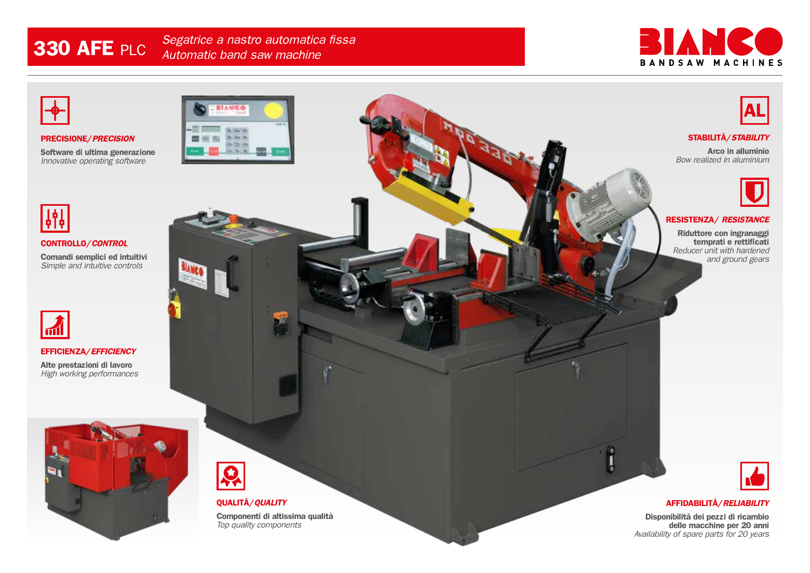**330 AFE** PLC *Segatrice a nastro automatica fissa Automatic band saw machine* 





**PRECISIONE/***PRECISION*

**Software di ultima generazione** *Innovative operating software*





**CONTROLLO/***CONTROL*

**Comandi semplici ed intuitivi** *Simple and intuitive controls*



#### **EFFICIENZA/***EFFICIENCY*

**Alte prestazioni di lavoro** *High working performances*





### **QUALITÀ/***QUALITY*

**Componenti di altissima qualità** *Top quality components*



#### **STABILITÀ/***STABILITY*

**Arco in alluminio** *Bow realized in aluminium*



#### **RESISTENZA/** *RESISTANCE*

**Riduttore con ingranaggi temprati e rettificati** *Reducer unit with hardened and ground gears*



#### **AFFIDABILITÀ/***RELIABILITY*

**Disponibilità dei pezzi di ricambio delle macchine per 20 anni** *Availability of spare parts for 20 years*